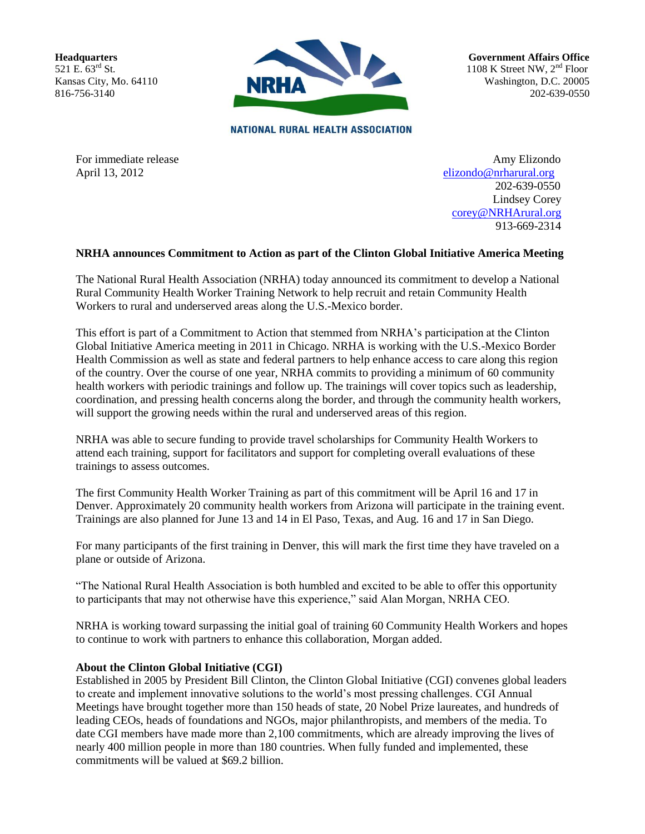**Headquarters** 521 E. 63rd St. Kansas City, Mo. 64110 816-756-3140



**Government Affairs Office** 1108 K Street NW,  $2<sup>nd</sup>$  Floor Washington, D.C. 20005 202-639-0550

**NATIONAL RURAL HEALTH ASSOCIATION** 

For immediate release Amy Elizondo April 13, 2012 [elizondo@nrharural.org](mailto:%20%20elizondo@nrharural.org) 202-639-0550 Lindsey Corey [corey@NRHArural.org](mailto:corey@NRHArural.org) 913-669-2314

## **NRHA announces Commitment to Action as part of the Clinton Global Initiative America Meeting**

The National Rural Health Association (NRHA) today announced its commitment to develop a National Rural Community Health Worker Training Network to help recruit and retain Community Health Workers to rural and underserved areas along the U.S.-Mexico border.

This effort is part of a Commitment to Action that stemmed from NRHA's participation at the Clinton Global Initiative America meeting in 2011 in Chicago. NRHA is working with the U.S.-Mexico Border Health Commission as well as state and federal partners to help enhance access to care along this region of the country. Over the course of one year, NRHA commits to providing a minimum of 60 community health workers with periodic trainings and follow up. The trainings will cover topics such as leadership, coordination, and pressing health concerns along the border, and through the community health workers, will support the growing needs within the rural and underserved areas of this region.

NRHA was able to secure funding to provide travel scholarships for Community Health Workers to attend each training, support for facilitators and support for completing overall evaluations of these trainings to assess outcomes.

The first Community Health Worker Training as part of this commitment will be April 16 and 17 in Denver. Approximately 20 community health workers from Arizona will participate in the training event. Trainings are also planned for June 13 and 14 in El Paso, Texas, and Aug. 16 and 17 in San Diego.

For many participants of the first training in Denver, this will mark the first time they have traveled on a plane or outside of Arizona.

"The National Rural Health Association is both humbled and excited to be able to offer this opportunity to participants that may not otherwise have this experience," said Alan Morgan, NRHA CEO.

NRHA is working toward surpassing the initial goal of training 60 Community Health Workers and hopes to continue to work with partners to enhance this collaboration, Morgan added.

## **About the Clinton Global Initiative (CGI)**

Established in 2005 by President Bill Clinton, the Clinton Global Initiative (CGI) convenes global leaders to create and implement innovative solutions to the world's most pressing challenges. CGI Annual Meetings have brought together more than 150 heads of state, 20 Nobel Prize laureates, and hundreds of leading CEOs, heads of foundations and NGOs, major philanthropists, and members of the media. To date CGI members have made more than 2,100 commitments, which are already improving the lives of nearly 400 million people in more than 180 countries. When fully funded and implemented, these commitments will be valued at \$69.2 billion.